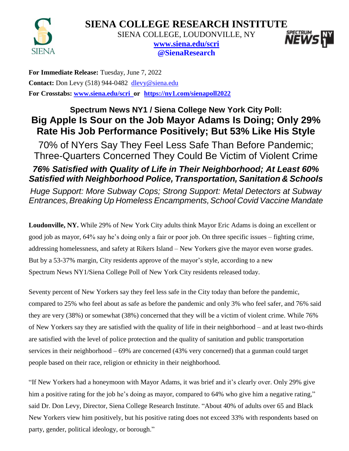



SIENA COLLEGE, LOUDONVILLE, NY



**[www.siena.edu/scri](http://www.siena.edu/scri) @SienaResearch**

**For Immediate Release:** Tuesday, June 7, 2022 Contact: Don Levy (518) 944-0482 [dlevy@siena.edu](mailto:dlevy@siena.edu) **For Crosstabs: [www.siena.edu/scri](http://www.siena.edu/scri/nyc) or <https://ny1.com/sienapoll2022>**

# **Spectrum News NY1 / Siena College New York City Poll: Big Apple Is Sour on the Job Mayor Adams Is Doing; Only 29% Rate His Job Performance Positively; But 53% Like His Style**

70% of NYers Say They Feel Less Safe Than Before Pandemic; Three-Quarters Concerned They Could Be Victim of Violent Crime

# *76% Satisfied with Quality of Life in Their Neighborhood; At Least 60% Satisfied with Neighborhood Police, Transportation, Sanitation & Schools*

*Huge Support: More Subway Cops; Strong Support: Metal Detectors at Subway Entrances,Breaking Up Homeless Encampments,School Covid Vaccine Mandate*

**Loudonville, NY.** While 29% of New York City adults think Mayor Eric Adams is doing an excellent or good job as mayor, 64% say he's doing only a fair or poor job. On three specific issues – fighting crime, addressing homelessness, and safety at Rikers Island – New Yorkers give the mayor even worse grades. But by a 53-37% margin, City residents approve of the mayor's style, according to a new Spectrum News NY1/Siena College Poll of New York City residents released today.

Seventy percent of New Yorkers say they feel less safe in the City today than before the pandemic, compared to 25% who feel about as safe as before the pandemic and only 3% who feel safer, and 76% said they are very (38%) or somewhat (38%) concerned that they will be a victim of violent crime. While 76% of New Yorkers say they are satisfied with the quality of life in their neighborhood – and at least two-thirds are satisfied with the level of police protection and the quality of sanitation and public transportation services in their neighborhood – 69% are concerned (43% very concerned) that a gunman could target people based on their race, religion or ethnicity in their neighborhood.

"If New Yorkers had a honeymoon with Mayor Adams, it was brief and it's clearly over. Only 29% give him a positive rating for the job he's doing as mayor, compared to 64% who give him a negative rating," said Dr. Don Levy, Director, Siena College Research Institute. "About 40% of adults over 65 and Black New Yorkers view him positively, but his positive rating does not exceed 33% with respondents based on party, gender, political ideology, or borough."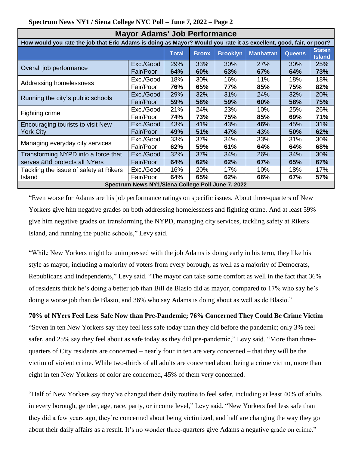| Spectrum News NY1 / Siena College NYC Poll – June 7, 2022 – Page 2 |  |  |  |  |
|--------------------------------------------------------------------|--|--|--|--|
|                                                                    |  |  |  |  |

| <b>Mayor Adams' Job Performance</b>                                                                                |           |     |              |                 |                  |               |                                |  |  |
|--------------------------------------------------------------------------------------------------------------------|-----------|-----|--------------|-----------------|------------------|---------------|--------------------------------|--|--|
| How would you rate the job that Eric Adams is doing as Mayor? Would you rate it as excellent, good, fair, or poor? |           |     |              |                 |                  |               |                                |  |  |
|                                                                                                                    |           |     | <b>Bronx</b> | <b>Brooklyn</b> | <b>Manhattan</b> | <b>Queens</b> | <b>Staten</b><br><b>Island</b> |  |  |
| Overall job performance                                                                                            | Exc./Good | 29% | 33%          | 30%             | 27%              | 30%           | 25%                            |  |  |
|                                                                                                                    | Fair/Poor | 64% | 60%          | 63%             | 67%              | 64%           | 73%                            |  |  |
|                                                                                                                    | Exc./Good | 18% | 30%          | 16%             | 11%              | 18%           | 18%                            |  |  |
| Addressing homelessness                                                                                            | Fair/Poor | 76% | 65%          | 77%             | 85%              | 75%           | 82%                            |  |  |
| Running the city's public schools                                                                                  | Exc./Good | 29% | 32%          | 31%             | 24%              | 32%           | 20%                            |  |  |
|                                                                                                                    | Fair/Poor | 59% | 58%          | 59%             | 60%              | 58%           | 75%                            |  |  |
|                                                                                                                    | Exc./Good | 21% | 24%          | 23%             | 10%              | 25%           | 26%                            |  |  |
| Fighting crime                                                                                                     | Fair/Poor | 74% | 73%          | 75%             | 85%              | 69%           | 71%                            |  |  |
| Encouraging tourists to visit New                                                                                  | Exc./Good | 43% | 41%          | 43%             | 46%              | 45%           | 31%                            |  |  |
| <b>York City</b>                                                                                                   | Fair/Poor | 49% | 51%          | 47%             | 43%              | 50%           | 62%                            |  |  |
| Managing everyday city services                                                                                    | Exc./Good | 33% | 37%          | 34%             | 33%              | 31%           | 30%                            |  |  |
|                                                                                                                    | Fair/Poor | 62% | 59%          | 61%             | 64%              | 64%           | 68%                            |  |  |
| Transforming NYPD into a force that                                                                                | Exc./Good | 32% | 37%          | 34%             | 26%              | 34%           | 30%                            |  |  |
| serves and protects all NYers                                                                                      | Fair/Poor | 64% | 62%          | 62%             | 67%              | 65%           | 67%                            |  |  |
| Tackling the issue of safety at Rikers                                                                             | Exc./Good | 16% | 20%          | 17%             | 10%              | 18%           | 17%                            |  |  |
| Island                                                                                                             | Fair/Poor | 64% | 65%          | 62%             | 66%              | 67%           | 57%                            |  |  |
| Spectrum News NY1/Siena College Poll June 7, 2022                                                                  |           |     |              |                 |                  |               |                                |  |  |

"Even worse for Adams are his job performance ratings on specific issues. About three-quarters of New Yorkers give him negative grades on both addressing homelessness and fighting crime. And at least 59% give him negative grades on transforming the NYPD, managing city services, tackling safety at Rikers Island, and running the public schools," Levy said.

"While New Yorkers might be unimpressed with the job Adams is doing early in his term, they like his style as mayor, including a majority of voters from every borough, as well as a majority of Democrats, Republicans and independents," Levy said. "The mayor can take some comfort as well in the fact that 36% of residents think he's doing a better job than Bill de Blasio did as mayor, compared to 17% who say he's doing a worse job than de Blasio, and 36% who say Adams is doing about as well as de Blasio."

#### **70% of NYers Feel Less Safe Now than Pre-Pandemic; 76% Concerned They Could Be Crime Victim**

"Seven in ten New Yorkers say they feel less safe today than they did before the pandemic; only 3% feel safer, and 25% say they feel about as safe today as they did pre-pandemic," Levy said. "More than threequarters of City residents are concerned – nearly four in ten are very concerned – that they will be the victim of violent crime. While two-thirds of all adults are concerned about being a crime victim, more than eight in ten New Yorkers of color are concerned, 45% of them very concerned.

"Half of New Yorkers say they've changed their daily routine to feel safer, including at least 40% of adults in every borough, gender, age, race, party, or income level," Levy said. "New Yorkers feel less safe than they did a few years ago, they're concerned about being victimized, and half are changing the way they go about their daily affairs as a result. It's no wonder three-quarters give Adams a negative grade on crime."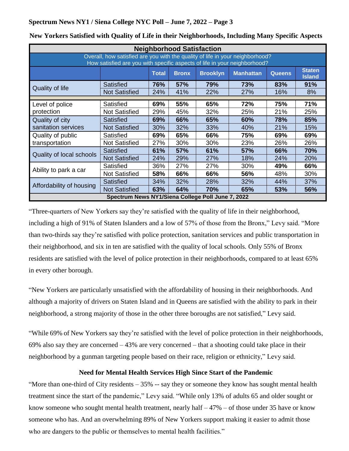| <b>Neighborhood Satisfaction</b>                                                                                                                           |                      |              |              |                 |                  |               |                                |  |  |  |  |
|------------------------------------------------------------------------------------------------------------------------------------------------------------|----------------------|--------------|--------------|-----------------|------------------|---------------|--------------------------------|--|--|--|--|
| Overall, how satisfied are you with the quality of life in your neighborhood?<br>How satisfied are you with specific aspects of life in your neighborhood? |                      |              |              |                 |                  |               |                                |  |  |  |  |
|                                                                                                                                                            |                      | <b>Total</b> | <b>Bronx</b> | <b>Brooklyn</b> | <b>Manhattan</b> | <b>Queens</b> | <b>Staten</b><br><b>Island</b> |  |  |  |  |
| Quality of life                                                                                                                                            | <b>Satisfied</b>     | 76%          | <b>57%</b>   | 79%             | 73%              | 83%           | 91%                            |  |  |  |  |
|                                                                                                                                                            | <b>Not Satisfied</b> | 24%          | 41%          | 22%             | 27%              | 16%           | 8%                             |  |  |  |  |
|                                                                                                                                                            |                      |              |              |                 |                  |               |                                |  |  |  |  |
| Level of police                                                                                                                                            | Satisfied            | 69%          | 55%          | 65%             | 72%              | 75%           | 71%                            |  |  |  |  |
| protection                                                                                                                                                 | <b>Not Satisfied</b> | 29%          | 45%          | 32%             | 25%              | 21%           | 25%                            |  |  |  |  |
| Quality of city                                                                                                                                            | <b>Satisfied</b>     | 69%          | 66%          | 65%             | 60%              | 78%           | 85%                            |  |  |  |  |
| sanitation services                                                                                                                                        | <b>Not Satisfied</b> | 30%          | 32%          | 33%             | 40%              | 21%           | 15%                            |  |  |  |  |
| Quality of public                                                                                                                                          | Satisfied            | 69%          | 65%          | 66%             | 75%              | 69%           | 69%                            |  |  |  |  |
| transportation                                                                                                                                             | <b>Not Satisfied</b> | 27%          | 30%          | 30%             | 23%              | 26%           | 26%                            |  |  |  |  |
|                                                                                                                                                            | <b>Satisfied</b>     | 61%          | 57%          | 61%             | 57%              | 66%           | 70%                            |  |  |  |  |
| Quality of local schools                                                                                                                                   | <b>Not Satisfied</b> | 24%          | 29%          | 27%             | 18%              | 24%           | 20%                            |  |  |  |  |
|                                                                                                                                                            | Satisfied            | 36%          | 27%          | 27%             | 30%              | 49%           | 66%                            |  |  |  |  |
| Ability to park a car                                                                                                                                      | <b>Not Satisfied</b> | 58%          | 66%          | 66%             | 56%              | 48%           | 30%                            |  |  |  |  |
|                                                                                                                                                            | <b>Satisfied</b>     | 34%          | 32%          | 28%             | 32%              | 44%           | 37%                            |  |  |  |  |
| Affordability of housing                                                                                                                                   | <b>Not Satisfied</b> | 63%          | 64%          | 70%             | 65%              | 53%           | 56%                            |  |  |  |  |
| Spectrum News NY1/Siena College Poll June 7, 2022                                                                                                          |                      |              |              |                 |                  |               |                                |  |  |  |  |

**New Yorkers Satisfied with Quality of Life in their Neighborhoods, Including Many Specific Aspects**

"Three-quarters of New Yorkers say they're satisfied with the quality of life in their neighborhood, including a high of 91% of Staten Islanders and a low of 57% of those from the Bronx," Levy said. "More than two-thirds say they're satisfied with police protection, sanitation services and public transportation in their neighborhood, and six in ten are satisfied with the quality of local schools. Only 55% of Bronx residents are satisfied with the level of police protection in their neighborhoods, compared to at least 65% in every other borough.

"New Yorkers are particularly unsatisfied with the affordability of housing in their neighborhoods. And although a majority of drivers on Staten Island and in Queens are satisfied with the ability to park in their neighborhood, a strong majority of those in the other three boroughs are not satisfied," Levy said.

"While 69% of New Yorkers say they're satisfied with the level of police protection in their neighborhoods, 69% also say they are concerned – 43% are very concerned – that a shooting could take place in their neighborhood by a gunman targeting people based on their race, religion or ethnicity," Levy said.

#### **Need for Mental Health Services High Since Start of the Pandemic**

"More than one-third of City residents – 35% -- say they or someone they know has sought mental health treatment since the start of the pandemic," Levy said. "While only 13% of adults 65 and older sought or know someone who sought mental health treatment, nearly half  $-47\%$  – of those under 35 have or know someone who has. And an overwhelming 89% of New Yorkers support making it easier to admit those who are dangers to the public or themselves to mental health facilities."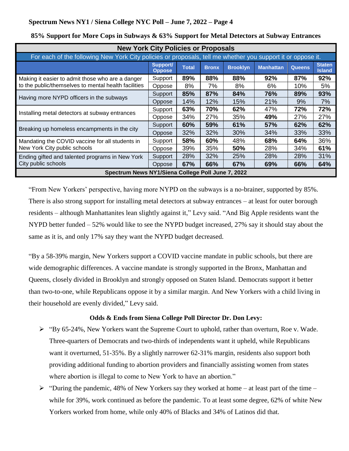| <b>New York City Policies or Proposals</b>                                                                  |                                  |              |              |                 |                  |               |                                |  |  |
|-------------------------------------------------------------------------------------------------------------|----------------------------------|--------------|--------------|-----------------|------------------|---------------|--------------------------------|--|--|
| For each of the following New York City policies or proposals, tell me whether you support it or oppose it. |                                  |              |              |                 |                  |               |                                |  |  |
|                                                                                                             | <b>Support/</b><br><b>Oppose</b> | <b>Total</b> | <b>Bronx</b> | <b>Brooklyn</b> | <b>Manhattan</b> | <b>Queens</b> | <b>Staten</b><br><b>Island</b> |  |  |
| Making it easier to admit those who are a danger                                                            | Support                          | 89%          | 88%          | 88%             | 92%              | 87%           | 92%                            |  |  |
| to the public/themselves to mental health facilities                                                        | Oppose                           | 8%           | 7%           | 8%              | 6%               | 10%           | 5%                             |  |  |
| Having more NYPD officers in the subways                                                                    | Support                          | 85%          | 87%          | 84%             | 76%              | 89%           | 93%                            |  |  |
|                                                                                                             | Oppose                           | 14%          | 12%          | 15%             | 21%              | 9%            | 7%                             |  |  |
|                                                                                                             | Support                          | 63%          | 70%          | 62%             | 47%              | 72%           | 72%                            |  |  |
| Installing metal detectors at subway entrances                                                              | Oppose                           | 34%          | 27%          | 35%             | 49%              | 27%           | 27%                            |  |  |
|                                                                                                             | Support                          | 60%          | 59%          | 61%             | 57%              | 62%           | 62%                            |  |  |
| Breaking up homeless encampments in the city                                                                | Oppose                           | 32%          | 32%          | 30%             | 34%              | 33%           | 33%                            |  |  |
| Mandating the COVID vaccine for all students in                                                             | Support                          | 58%          | 60%          | 48%             | 68%              | 64%           | 36%                            |  |  |
| New York City public schools                                                                                | Oppose                           | 39%          | 35%          | 50%             | 28%              | 34%           | 61%                            |  |  |
| Ending gifted and talented programs in New York                                                             | Support                          | 28%          | 32%          | 25%             | 28%              | 28%           | 31%                            |  |  |
| City public schools                                                                                         | Oppose                           | 67%          | 66%          | 67%             | 69%              | 66%           | 64%                            |  |  |
| Spectrum News NY1/Siena College Poll June 7, 2022                                                           |                                  |              |              |                 |                  |               |                                |  |  |

### **85% Support for More Cops in Subways & 63% Support for Metal Detectors at Subway Entrances**

"From New Yorkers' perspective, having more NYPD on the subways is a no-brainer, supported by 85%. There is also strong support for installing metal detectors at subway entrances – at least for outer borough residents – although Manhattanites lean slightly against it," Levy said. "And Big Apple residents want the NYPD better funded – 52% would like to see the NYPD budget increased, 27% say it should stay about the same as it is, and only 17% say they want the NYPD budget decreased.

"By a 58-39% margin, New Yorkers support a COVID vaccine mandate in public schools, but there are wide demographic differences. A vaccine mandate is strongly supported in the Bronx, Manhattan and Queens, closely divided in Brooklyn and strongly opposed on Staten Island. Democrats support it better than two-to-one, while Republicans oppose it by a similar margin. And New Yorkers with a child living in their household are evenly divided," Levy said.

## **Odds & Ends from Siena College Poll Director Dr. Don Levy:**

- ➢ "By 65-24%, New Yorkers want the Supreme Court to uphold, rather than overturn, Roe v. Wade. Three-quarters of Democrats and two-thirds of independents want it upheld, while Republicans want it overturned, 51-35%. By a slightly narrower 62-31% margin, residents also support both providing additional funding to abortion providers and financially assisting women from states where abortion is illegal to come to New York to have an abortion."
- $\triangleright$  "During the pandemic, 48% of New Yorkers say they worked at home at least part of the time while for 39%, work continued as before the pandemic. To at least some degree, 62% of white New Yorkers worked from home, while only 40% of Blacks and 34% of Latinos did that.